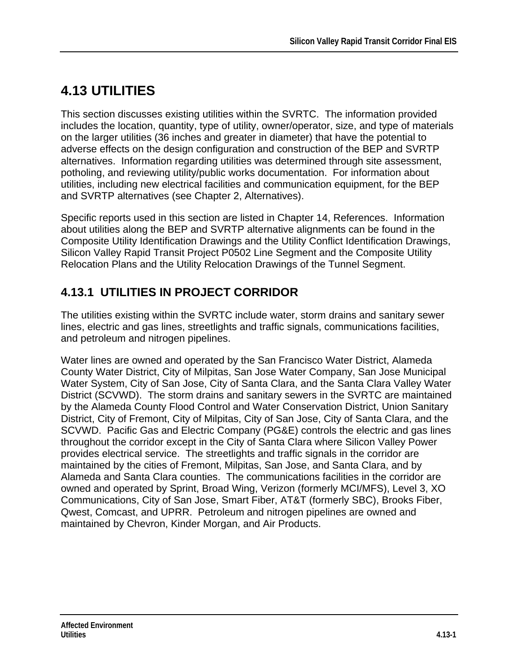# **4.13 UTILITIES**

This section discusses existing utilities within the SVRTC. The information provided includes the location, quantity, type of utility, owner/operator, size, and type of materials on the larger utilities (36 inches and greater in diameter) that have the potential to adverse effects on the design configuration and construction of the BEP and SVRTP alternatives. Information regarding utilities was determined through site assessment, potholing, and reviewing utility/public works documentation. For information about utilities, including new electrical facilities and communication equipment, for the BEP and SVRTP alternatives (see Chapter 2, Alternatives).

Specific reports used in this section are listed in Chapter 14, References. Information about utilities along the BEP and SVRTP alternative alignments can be found in the Composite Utility Identification Drawings and the Utility Conflict Identification Drawings, Silicon Valley Rapid Transit Project P0502 Line Segment and the Composite Utility Relocation Plans and the Utility Relocation Drawings of the Tunnel Segment.

## **4.13.1 UTILITIES IN PROJECT CORRIDOR**

The utilities existing within the SVRTC include water, storm drains and sanitary sewer lines, electric and gas lines, streetlights and traffic signals, communications facilities, and petroleum and nitrogen pipelines.

Water lines are owned and operated by the San Francisco Water District, Alameda County Water District, City of Milpitas, San Jose Water Company, San Jose Municipal Water System, City of San Jose, City of Santa Clara, and the Santa Clara Valley Water District (SCVWD). The storm drains and sanitary sewers in the SVRTC are maintained by the Alameda County Flood Control and Water Conservation District, Union Sanitary District, City of Fremont, City of Milpitas, City of San Jose, City of Santa Clara, and the SCVWD. Pacific Gas and Electric Company (PG&E) controls the electric and gas lines throughout the corridor except in the City of Santa Clara where Silicon Valley Power provides electrical service. The streetlights and traffic signals in the corridor are maintained by the cities of Fremont, Milpitas, San Jose, and Santa Clara, and by Alameda and Santa Clara counties. The communications facilities in the corridor are owned and operated by Sprint, Broad Wing, Verizon (formerly MCI/MFS), Level 3, XO Communications, City of San Jose, Smart Fiber, AT&T (formerly SBC), Brooks Fiber, Qwest, Comcast, and UPRR. Petroleum and nitrogen pipelines are owned and maintained by Chevron, Kinder Morgan, and Air Products.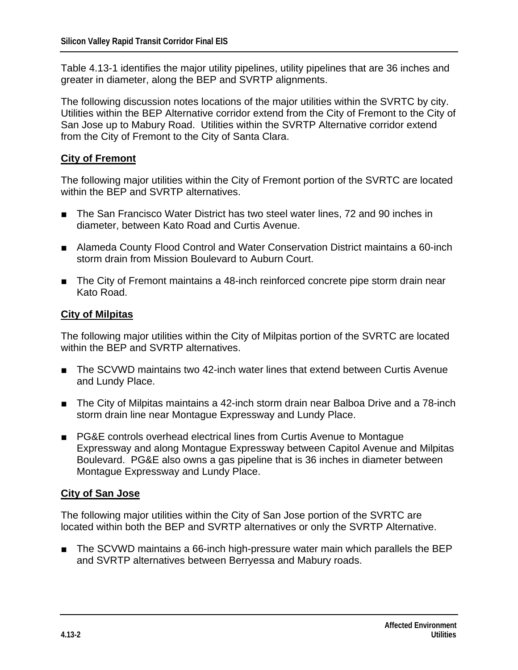Table 4.13-1 identifies the major utility pipelines, utility pipelines that are 36 inches and greater in diameter, along the BEP and SVRTP alignments.

The following discussion notes locations of the major utilities within the SVRTC by city. Utilities within the BEP Alternative corridor extend from the City of Fremont to the City of San Jose up to Mabury Road. Utilities within the SVRTP Alternative corridor extend from the City of Fremont to the City of Santa Clara.

#### **City of Fremont**

The following major utilities within the City of Fremont portion of the SVRTC are located within the BEP and SVRTP alternatives.

- The San Francisco Water District has two steel water lines, 72 and 90 inches in diameter, between Kato Road and Curtis Avenue.
- Alameda County Flood Control and Water Conservation District maintains a 60-inch storm drain from Mission Boulevard to Auburn Court.
- The City of Fremont maintains a 48-inch reinforced concrete pipe storm drain near Kato Road.

#### **City of Milpitas**

The following major utilities within the City of Milpitas portion of the SVRTC are located within the BEP and SVRTP alternatives.

- The SCVWD maintains two 42-inch water lines that extend between Curtis Avenue and Lundy Place.
- The City of Milpitas maintains a 42-inch storm drain near Balboa Drive and a 78-inch storm drain line near Montague Expressway and Lundy Place.
- PG&E controls overhead electrical lines from Curtis Avenue to Montague Expressway and along Montague Expressway between Capitol Avenue and Milpitas Boulevard. PG&E also owns a gas pipeline that is 36 inches in diameter between Montague Expressway and Lundy Place.

#### **City of San Jose**

The following major utilities within the City of San Jose portion of the SVRTC are located within both the BEP and SVRTP alternatives or only the SVRTP Alternative.

■ The SCVWD maintains a 66-inch high-pressure water main which parallels the BEP and SVRTP alternatives between Berryessa and Mabury roads.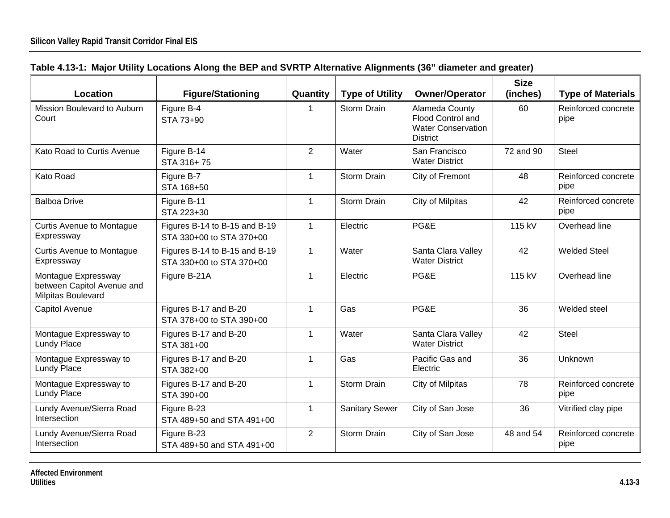| Table 4.13-1: Major Utility Locations Along the BEP and SVRTP Alternative Alignments (36" diameter and greater) |  |  |
|-----------------------------------------------------------------------------------------------------------------|--|--|
|                                                                                                                 |  |  |

| Location                                                                | <b>Figure/Stationing</b>                                  | Quantity       | <b>Type of Utility</b> | <b>Owner/Operator</b>                                                               | <b>Size</b><br>(inches) | <b>Type of Materials</b>    |
|-------------------------------------------------------------------------|-----------------------------------------------------------|----------------|------------------------|-------------------------------------------------------------------------------------|-------------------------|-----------------------------|
| Mission Boulevard to Auburn<br>Court                                    | Figure B-4<br>STA 73+90                                   | 1              | <b>Storm Drain</b>     | Alameda County<br>Flood Control and<br><b>Water Conservation</b><br><b>District</b> | 60                      | Reinforced concrete<br>pipe |
| Kato Road to Curtis Avenue                                              | Figure B-14<br>STA 316+75                                 | 2              | Water                  | San Francisco<br><b>Water District</b>                                              | 72 and 90               | <b>Steel</b>                |
| Kato Road                                                               | Figure B-7<br>STA 168+50                                  | $\mathbf 1$    | <b>Storm Drain</b>     | City of Fremont                                                                     | 48                      | Reinforced concrete<br>pipe |
| <b>Balboa Drive</b>                                                     | Figure B-11<br>STA 223+30                                 | $\mathbf{1}$   | <b>Storm Drain</b>     | City of Milpitas                                                                    | 42                      | Reinforced concrete<br>pipe |
| <b>Curtis Avenue to Montague</b><br>Expressway                          | Figures B-14 to B-15 and B-19<br>STA 330+00 to STA 370+00 | $\mathbf 1$    | Electric               | PG&E                                                                                | 115 kV                  | Overhead line               |
| <b>Curtis Avenue to Montague</b><br>Expressway                          | Figures B-14 to B-15 and B-19<br>STA 330+00 to STA 370+00 | $\mathbf{1}$   | Water                  | Santa Clara Valley<br><b>Water District</b>                                         | 42                      | <b>Welded Steel</b>         |
| Montague Expressway<br>between Capitol Avenue and<br>Milpitas Boulevard | Figure B-21A                                              | $\mathbf 1$    | Electric               | PG&E                                                                                | 115 kV                  | Overhead line               |
| Capitol Avenue                                                          | Figures B-17 and B-20<br>STA 378+00 to STA 390+00         | $\mathbf{1}$   | Gas                    | PG&E                                                                                | 36                      | Welded steel                |
| Montague Expressway to<br><b>Lundy Place</b>                            | Figures B-17 and B-20<br>STA 381+00                       | $\mathbf{1}$   | Water                  | Santa Clara Valley<br><b>Water District</b>                                         | 42                      | <b>Steel</b>                |
| Montague Expressway to<br><b>Lundy Place</b>                            | Figures B-17 and B-20<br>STA 382+00                       | $\mathbf{1}$   | Gas                    | Pacific Gas and<br>Electric                                                         | 36                      | Unknown                     |
| Montague Expressway to<br><b>Lundy Place</b>                            | Figures B-17 and B-20<br>STA 390+00                       | $\mathbf{1}$   | <b>Storm Drain</b>     | City of Milpitas                                                                    | 78                      | Reinforced concrete<br>pipe |
| Lundy Avenue/Sierra Road<br>Intersection                                | Figure B-23<br>STA 489+50 and STA 491+00                  | $\mathbf 1$    | <b>Sanitary Sewer</b>  | City of San Jose                                                                    | 36                      | Vitrified clay pipe         |
| Lundy Avenue/Sierra Road<br>Intersection                                | Figure B-23<br>STA 489+50 and STA 491+00                  | $\overline{2}$ | <b>Storm Drain</b>     | City of San Jose                                                                    | 48 and 54               | Reinforced concrete<br>pipe |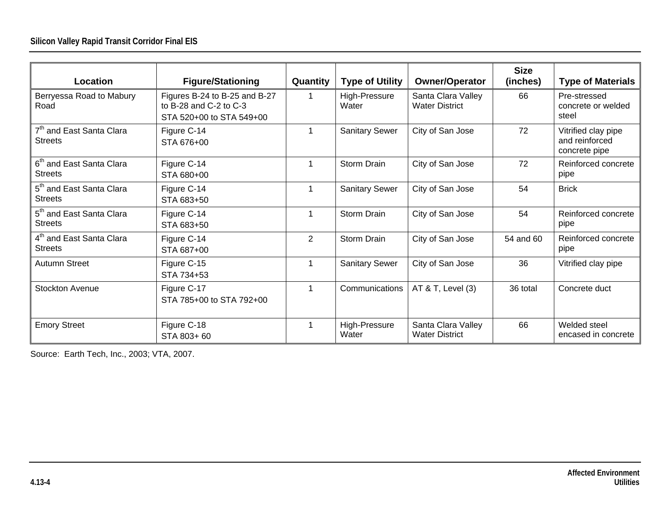| Location                                               | <b>Figure/Stationing</b>                                                            | Quantity       | <b>Type of Utility</b> | <b>Owner/Operator</b>                       | <b>Size</b><br>(inches) | <b>Type of Materials</b>                               |
|--------------------------------------------------------|-------------------------------------------------------------------------------------|----------------|------------------------|---------------------------------------------|-------------------------|--------------------------------------------------------|
| Berryessa Road to Mabury<br>Road                       | Figures B-24 to B-25 and B-27<br>to B-28 and C-2 to C-3<br>STA 520+00 to STA 549+00 |                | High-Pressure<br>Water | Santa Clara Valley<br><b>Water District</b> | 66                      | Pre-stressed<br>concrete or welded<br>steel            |
| 7 <sup>th</sup> and East Santa Clara<br><b>Streets</b> | Figure C-14<br>STA 676+00                                                           |                | <b>Sanitary Sewer</b>  | City of San Jose                            | 72                      | Vitrified clay pipe<br>and reinforced<br>concrete pipe |
| 6 <sup>th</sup> and East Santa Clara<br><b>Streets</b> | Figure C-14<br>STA 680+00                                                           |                | <b>Storm Drain</b>     | City of San Jose                            | 72                      | Reinforced concrete<br>pipe                            |
| 5 <sup>th</sup> and East Santa Clara<br><b>Streets</b> | Figure C-14<br>STA 683+50                                                           |                | <b>Sanitary Sewer</b>  | City of San Jose                            | 54                      | <b>Brick</b>                                           |
| 5 <sup>th</sup> and East Santa Clara<br><b>Streets</b> | Figure C-14<br>STA 683+50                                                           |                | <b>Storm Drain</b>     | City of San Jose                            | 54                      | Reinforced concrete<br>pipe                            |
| 4 <sup>th</sup> and East Santa Clara<br><b>Streets</b> | Figure C-14<br>STA 687+00                                                           | $\overline{2}$ | <b>Storm Drain</b>     | City of San Jose                            | 54 and 60               | Reinforced concrete<br>pipe                            |
| Autumn Street                                          | Figure C-15<br>STA 734+53                                                           |                | <b>Sanitary Sewer</b>  | City of San Jose                            | 36                      | Vitrified clay pipe                                    |
| <b>Stockton Avenue</b>                                 | Figure C-17<br>STA 785+00 to STA 792+00                                             | $\mathbf{1}$   | Communications         | AT & T, Level (3)                           | 36 total                | Concrete duct                                          |
| <b>Emory Street</b>                                    | Figure C-18<br>STA 803+60                                                           |                | High-Pressure<br>Water | Santa Clara Valley<br><b>Water District</b> | 66                      | Welded steel<br>encased in concrete                    |

Source: Earth Tech, Inc., 2003; VTA, 2007.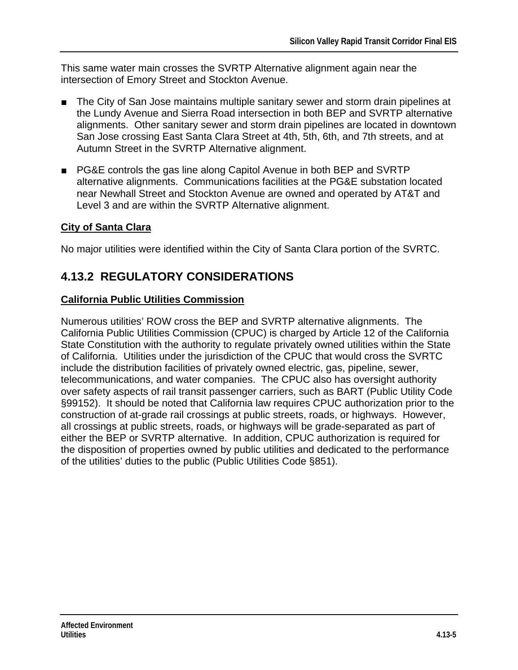This same water main crosses the SVRTP Alternative alignment again near the intersection of Emory Street and Stockton Avenue.

- The City of San Jose maintains multiple sanitary sewer and storm drain pipelines at the Lundy Avenue and Sierra Road intersection in both BEP and SVRTP alternative alignments. Other sanitary sewer and storm drain pipelines are located in downtown San Jose crossing East Santa Clara Street at 4th, 5th, 6th, and 7th streets, and at Autumn Street in the SVRTP Alternative alignment.
- PG&E controls the gas line along Capitol Avenue in both BEP and SVRTP alternative alignments. Communications facilities at the PG&E substation located near Newhall Street and Stockton Avenue are owned and operated by AT&T and Level 3 and are within the SVRTP Alternative alignment.

#### **City of Santa Clara**

No major utilities were identified within the City of Santa Clara portion of the SVRTC.

### **4.13.2 REGULATORY CONSIDERATIONS**

#### **California Public Utilities Commission**

Numerous utilities' ROW cross the BEP and SVRTP alternative alignments. The California Public Utilities Commission (CPUC) is charged by Article 12 of the California State Constitution with the authority to regulate privately owned utilities within the State of California. Utilities under the jurisdiction of the CPUC that would cross the SVRTC include the distribution facilities of privately owned electric, gas, pipeline, sewer, telecommunications, and water companies. The CPUC also has oversight authority over safety aspects of rail transit passenger carriers, such as BART (Public Utility Code §99152). It should be noted that California law requires CPUC authorization prior to the construction of at-grade rail crossings at public streets, roads, or highways. However, all crossings at public streets, roads, or highways will be grade-separated as part of either the BEP or SVRTP alternative. In addition, CPUC authorization is required for the disposition of properties owned by public utilities and dedicated to the performance of the utilities' duties to the public (Public Utilities Code §851).